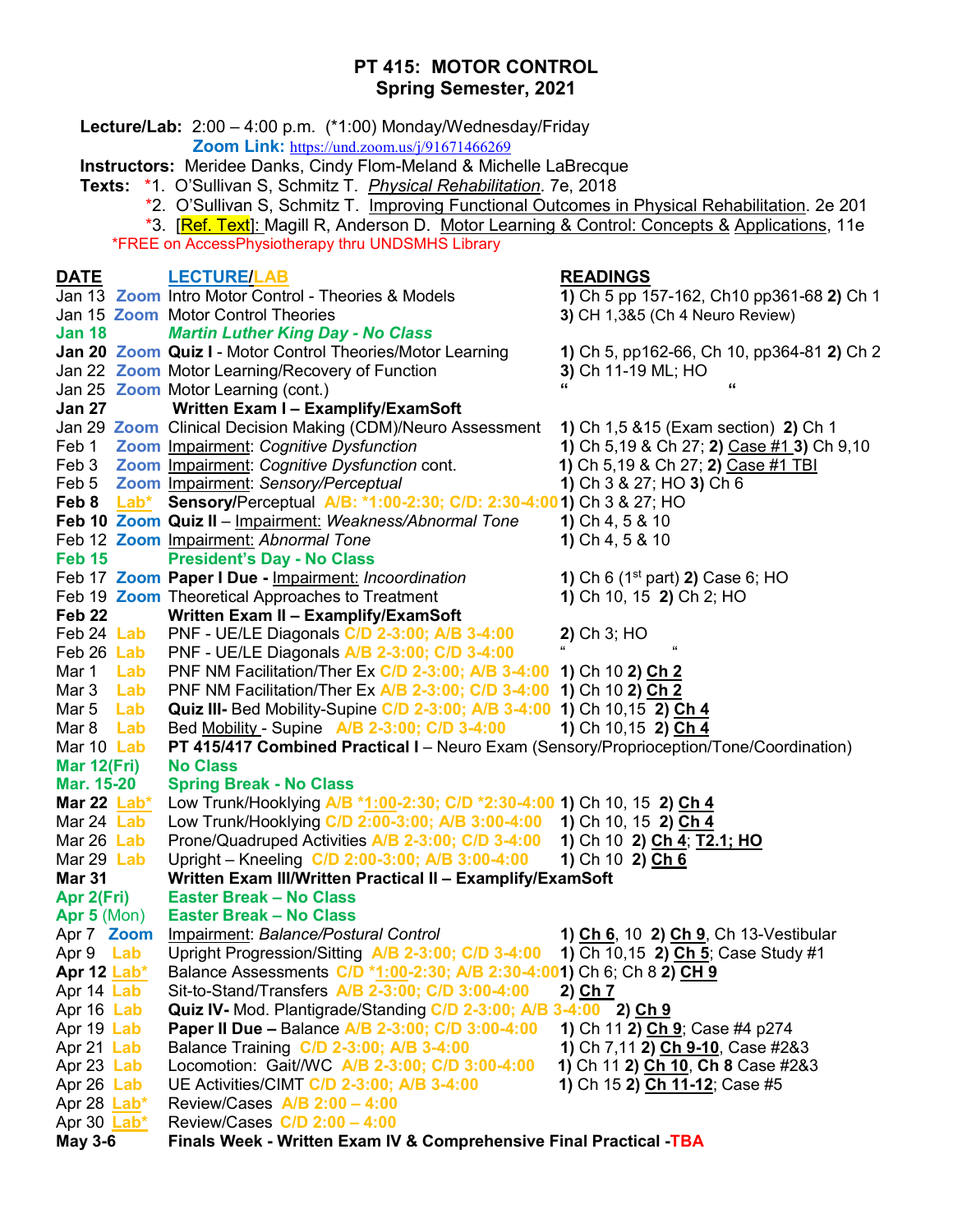# **PT 415: MOTOR CONTROL Spring Semester, 2021**

 **Lecture/Lab:** 2:00 – 4:00 p.m. (\*1:00) Monday/Wednesday/Friday  **Zoom Link:** <https://und.zoom.us/j/91671466269>  **Instructors:** Meridee Danks, Cindy Flom-Meland & Michelle LaBrecque  **Texts:** \*1. O'Sullivan S, Schmitz T. *Physical Rehabilitation*. 7e, 2018 \*2. O'Sullivan S, Schmitz T. Improving Functional Outcomes in Physical Rehabilitation. 2e 201 \*3. [Ref. Text]: Magill R, Anderson D. Motor Learning & Control: Concepts & Applications, 11e \*FREE on AccessPhysiotherapy thru UNDSMHS Library **DATE LECTURE/LAB READINGS** Jan 13 **Zoom** Intro Motor Control - Theories & Models **1)** Ch 5 pp 157-162, Ch10 pp361-68 **2)** Ch 1 Jan 15 **Zoom** Motor Control Theories **3)** CH 1,3&5 (Ch 4 Neuro Review) **Jan 18** *Martin Luther King Day - No Class* **Jan 20 Zoom Quiz I** - Motor Control Theories/Motor Learning **1)** Ch 5, pp162-66, Ch 10, pp364-81 **2)** Ch 2 **Jan 22 Zoom** Motor Learning/Recovery of Function Jan 25 **Zoom** Motor Learning (cont.) **" " Jan 27 Written Exam I – Examplify/ExamSoft** Jan 29 **Zoom** Clinical Decision Making (CDM)/Neuro Assessment **1)** Ch 1,5 &15 (Exam section) **2)** Ch 1 Feb 1 **Zoom** Impairment: *Cognitive Dysfunction* **1)** Ch 5,19 & Ch 27; **2)** Case #1 **3)** Ch 9,10 Feb 3 **Zoom** Impairment: *Cognitive Dysfunction* cont. **1)** Ch 5,19 & Ch 27; **2)** Case #1 TBI Feb 5 **Zoom** Impairment: *Sensory/Perceptual* **1)** Ch 3 & 27; HO **3)** Ch 6 **Feb 8 Lab\* Sensory/**Perceptual **A/B: \*1:00-2:30; C/D: 2:30-4:001)** Ch 3 & 27; HO **Feb 10 Zoom Quiz II** – Impairment: *Weakness/Abnormal Tone* **1)** Ch 4, 5 & 10 Feb 12 **Zoom** Impairment: *Abnormal Tone* **1)** Ch 4, 5 & 10 **Feb 15 President's Day - No Class** Feb 17 **Zoom Paper I Due -** Impairment: *Incoordination* **1)** Ch 6 (1st part) **2)** Case 6; HO Feb 19 **Zoom** Theoretical Approaches to Treatment **1)** Ch 10, 15 **2)** Ch 2; HO **Feb 22 Written Exam II – Examplify/ExamSoft** Feb 24 **Lab** PNF - UE/LE Diagonals **C/D 2-3:00; A/B 3-4:00 2)** Ch 3; HO Feb 26 **Lab** PNF - UE/LE Diagonals **A/B 2-3:00; C/D 3-4:00** " " Mar 1 **Lab** PNF NM Facilitation/Ther Ex **C/D 2-3:00; A/B 3-4:00 1)** Ch 10 **2) Ch 2** Mar 3 **Lab** PNF NM Facilitation/Ther Ex **A/B 2-3:00; C/D 3-4:00 1)** Ch 10 **2) Ch 2** Mar 5 **Lab Quiz III-** Bed Mobility-Supine **C/D 2-3:00; A/B 3-4:00 1)** Ch 10,15 **2) Ch 4** Mar 8 **Lab** Bed Mobility - Supine **A/B 2-3:00; C/D 3-4:00 1)** Ch 10,15 **2) Ch 4** Mar 10 **Lab PT 415/417 Combined Practical I** – Neuro Exam (Sensory/Proprioception/Tone/Coordination) **Mar 12(Fri) No Class Mar. 15-20 Spring Break - No Class Mar 22 Lab\*** Low Trunk/Hooklying **A/B \*1:00-2:30; C/D \*2:30-4:00 1)** Ch 10, 15 **2) Ch 4 Mar 24 Lab** Low Trunk/Hooklying C/D 2:00-3:00; A/B 3:00-4:00 Mar 26 **Lab** Prone/Quadruped Activities **A/B 2-3:00; C/D 3-4:00 1)** Ch 10 **2) Ch 4**; **T2.1; HO** Mar 29 **Lab** Upright – Kneeling **C/D 2:00-3:00; A/B 3:00-4:00 1)** Ch 10 **2) Ch 6 Mar 31 Written Exam III/Written Practical II – Examplify/ExamSoft Apr 2(Fri) Easter Break – No Class Apr 5** (Mon) **Easter Break – No Class** Apr 7 **Zoom** Impairment: *Balance/Postural Control* **1) Ch 6**, 10 **2) Ch 9**, Ch 13-Vestibular Apr 9 **Lab** Upright Progression/Sitting **A/B 2-3:00; C/D 3-4:00 1)** Ch 10,15 **2) Ch 5**; Case Study #1 **Apr 12 Lab\*** Balance Assessments **C/D \*1:00-2:30; A/B 2:30-4:001)** Ch 6; Ch 8 **2) CH 9** Apr 14 **Lab** Sit-to-Stand/Transfers **A/B 2-3:00; C/D 3:00-4:00 2) Ch 7** Apr 16 **Lab Quiz IV-** Mod. Plantigrade/Standing **C/D 2-3:00; A/B 3-4:00 2) Ch 9** Apr 19 **Lab Paper II Due –** Balance **A/B 2-3:00; C/D 3:00-4:00 1)** Ch 11 **2) Ch 9**; Case #4 p274 Apr 21 Lab Balance Training **C/D 2-3:00; A/B 3-4:00** Apr 23 **Lab** Locomotion: Gait//WC **A/B 2-3:00; C/D 3:00-4:00 1)** Ch 11 **2) Ch 10**, **Ch 8** Case #2&3 Apr 26 **Lab** UE Activities/CIMT **C/D 2-3:00; A/B 3-4:00 1)** Ch 15 **2) Ch 11-12**; Case #5 Apr 28 **Lab\*** Review/Cases **A/B 2:00 – 4:00** Apr 30 **Lab\*** Review/Cases **C/D 2:00 – 4:00 May 3-6 Finals Week - Written Exam IV & Comprehensive Final Practical -TBA**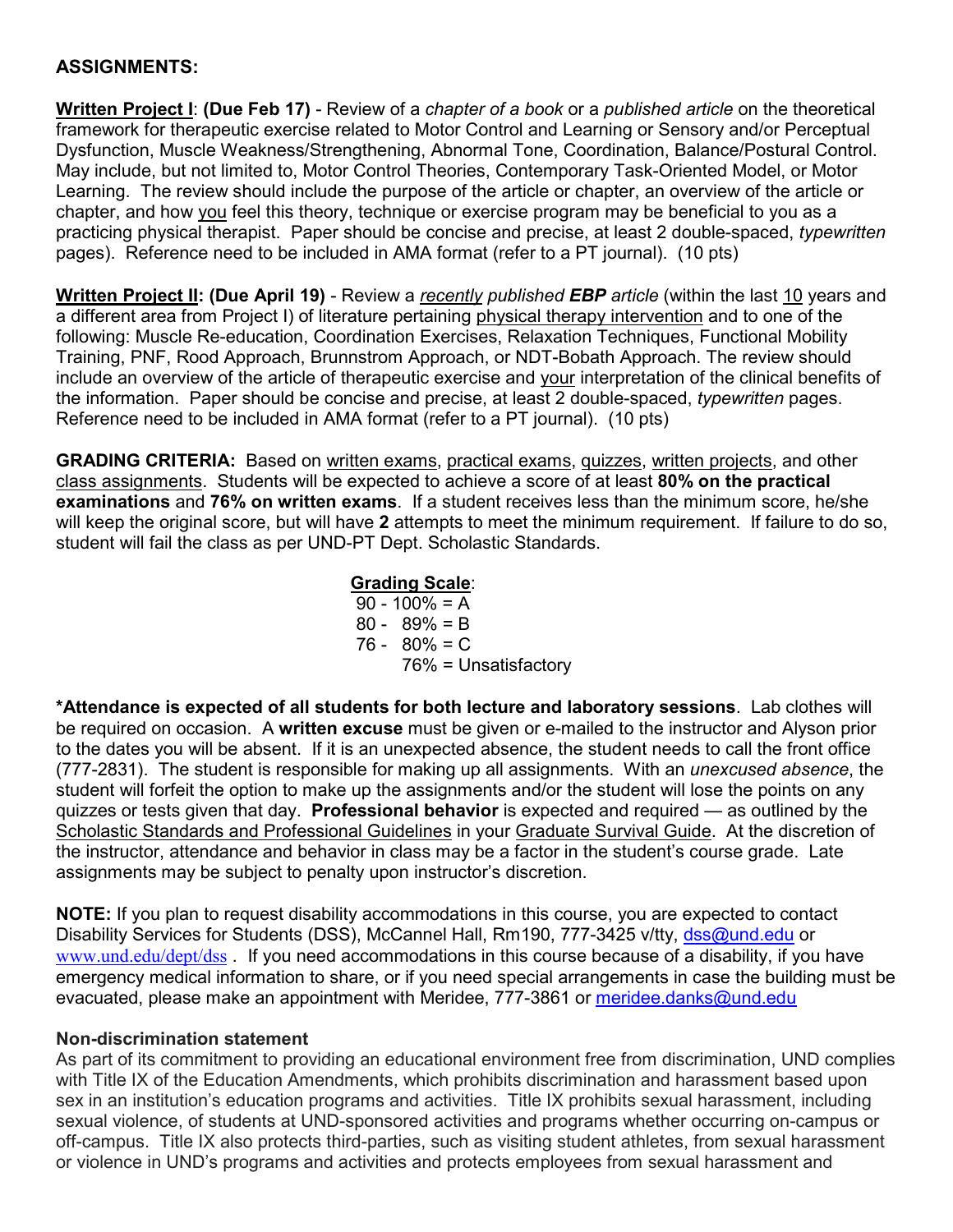# **ASSIGNMENTS:**

**Written Project I**: **(Due Feb 17)** - Review of a *chapter of a book* or a *published article* on the theoretical framework for therapeutic exercise related to Motor Control and Learning or Sensory and/or Perceptual Dysfunction, Muscle Weakness/Strengthening, Abnormal Tone, Coordination, Balance/Postural Control. May include, but not limited to, Motor Control Theories, Contemporary Task-Oriented Model, or Motor Learning. The review should include the purpose of the article or chapter, an overview of the article or chapter, and how you feel this theory, technique or exercise program may be beneficial to you as a practicing physical therapist. Paper should be concise and precise, at least 2 double-spaced, *typewritten* pages). Reference need to be included in AMA format (refer to a PT journal). (10 pts)

**Written Project II: (Due April 19)** - Review a *recently published EBP article* (within the last 10 years and a different area from Project I) of literature pertaining physical therapy intervention and to one of the following: Muscle Re-education, Coordination Exercises, Relaxation Techniques, Functional Mobility Training, PNF, Rood Approach, Brunnstrom Approach, or NDT-Bobath Approach. The review should include an overview of the article of therapeutic exercise and your interpretation of the clinical benefits of the information. Paper should be concise and precise, at least 2 double-spaced, *typewritten* pages. Reference need to be included in AMA format (refer to a PT journal). (10 pts)

GRADING CRITERIA: Based on written exams, practical exams, quizzes, written projects, and other class assignments. Students will be expected to achieve a score of at least **80% on the practical examinations** and **76% on written exams**. If a student receives less than the minimum score, he/she will keep the original score, but will have **2** attempts to meet the minimum requirement. If failure to do so, student will fail the class as per UND-PT Dept. Scholastic Standards.

# **Grading Scale**:

 $90 - 100\% = A$  80 - 89% = B 76 - 80% = C 76% = Unsatisfactory

**\*Attendance is expected of all students for both lecture and laboratory sessions**. Lab clothes will be required on occasion. A **written excuse** must be given or e-mailed to the instructor and Alyson prior to the dates you will be absent. If it is an unexpected absence, the student needs to call the front office (777-2831). The student is responsible for making up all assignments. With an *unexcused absence*, the student will forfeit the option to make up the assignments and/or the student will lose the points on any quizzes or tests given that day. **Professional behavior** is expected and required — as outlined by the Scholastic Standards and Professional Guidelines in your Graduate Survival Guide. At the discretion of the instructor, attendance and behavior in class may be a factor in the student's course grade. Late assignments may be subject to penalty upon instructor's discretion.

**NOTE:** If you plan to request disability accommodations in this course, you are expected to contact Disability Services for Students (DSS), McCannel Hall, Rm190, 777-3425 v/tty, [dss@und.edu](mailto:dss@und.edu) or www.und.edu/dept/dss . If you need accommodations in this course because of a disability, if you have emergency medical information to share, or if you need special arrangements in case the building must be evacuated, please make an appointment with Meridee, 777-3861 or [meridee.danks@und.edu](mailto:meridee.danks@und.edu)

#### **Non-discrimination statement**

As part of its commitment to providing an educational environment free from discrimination, UND complies with Title IX of the Education Amendments, which prohibits discrimination and harassment based upon sex in an institution's education programs and activities. Title IX prohibits sexual harassment, including sexual violence, of students at UND-sponsored activities and programs whether occurring on-campus or off-campus. Title IX also protects third-parties, such as visiting student athletes, from sexual harassment or violence in UND's programs and activities and protects employees from sexual harassment and